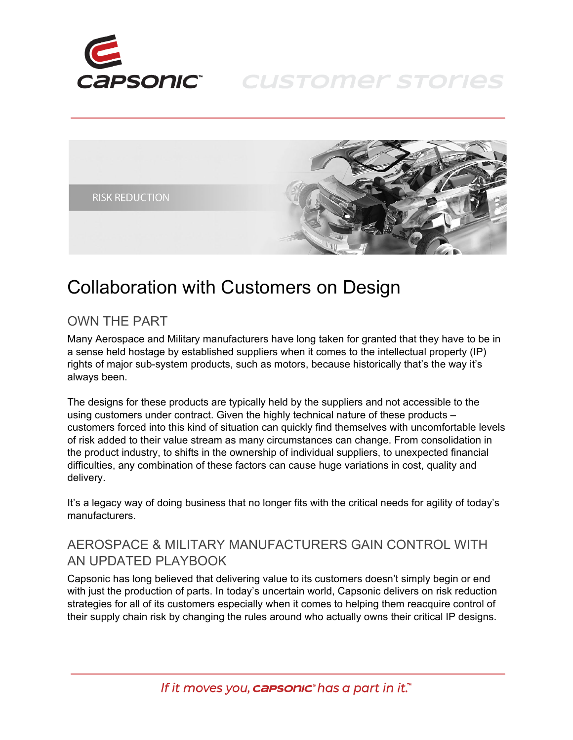

# **CUSTOMER STORIES**



# Collaboration with Customers on Design

#### OWN THE PART

Many Aerospace and Military manufacturers have long taken for granted that they have to be in a sense held hostage by established suppliers when it comes to the intellectual property (IP) rights of major sub-system products, such as motors, because historically that's the way it's always been.

The designs for these products are typically held by the suppliers and not accessible to the using customers under contract. Given the highly technical nature of these products – customers forced into this kind of situation can quickly find themselves with uncomfortable levels of risk added to their value stream as many circumstances can change. From consolidation in the product industry, to shifts in the ownership of individual suppliers, to unexpected financial difficulties, any combination of these factors can cause huge variations in cost, quality and delivery.

It's a legacy way of doing business that no longer fits with the critical needs for agility of today's manufacturers.

## AEROSPACE & MILITARY MANUFACTURERS GAIN CONTROL WITH AN UPDATED PLAYBOOK

Capsonic has long believed that delivering value to its customers doesn't simply begin or end with just the production of parts. In today's uncertain world, Capsonic delivers on risk reduction strategies for all of its customers especially when it comes to helping them reacquire control of their supply chain risk by changing the rules around who actually owns their critical IP designs.